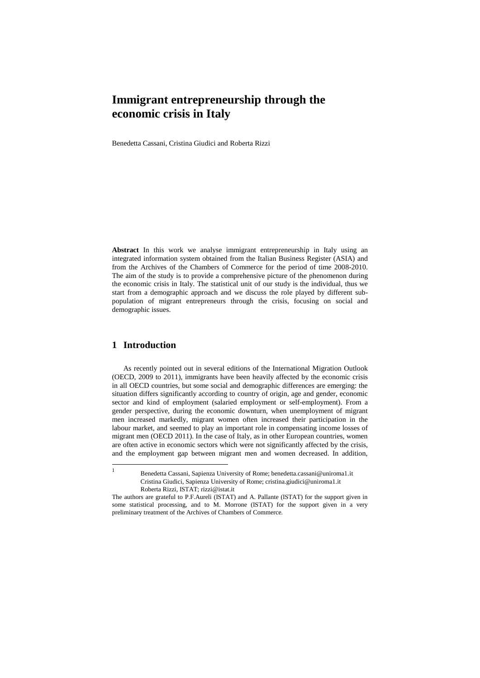# **Immigrant entrepreneurship through the economic crisis in Italy**

Benedetta Cassani, Cristina Giudici and Roberta Rizzi

**Abstract** In this work we analyse immigrant entrepreneurship in Italy using an integrated information system obtained from the Italian Business Register (ASIA) and from the Archives of the Chambers of Commerce for the period of time 2008-2010. The aim of the study is to provide a comprehensive picture of the phenomenon during the economic crisis in Italy. The statistical unit of our study is the individual, thus we start from a demographic approach and we discuss the role played by different subpopulation of migrant entrepreneurs through the crisis, focusing on social and demographic issues.

#### **1 Introduction**

|<br>|

As recently pointed out in several editions of the International Migration Outlook (OECD, 2009 to 2011), immigrants have been heavily affected by the economic crisis in all OECD countries, but some social and demographic differences are emerging: the situation differs significantly according to country of origin, age and gender, economic sector and kind of employment (salaried employment or self-employment). From a gender perspective, during the economic downturn, when unemployment of migrant men increased markedly, migrant women often increased their participation in the labour market, and seemed to play an important role in compensating income losses of migrant men (OECD 2011). In the case of Italy, as in other European countries, women are often active in economic sectors which were not significantly affected by the crisis, and the employment gap between migrant men and women decreased. In addition,

Benedetta Cassani, Sapienza University of Rome; benedetta.cassani@uniroma1.it Cristina Giudici, Sapienza University of Rome; cristina.giudici@uniroma1.it Roberta Rizzi, ISTAT[; rizzi@istat.it](mailto:rizzi@istat.it)

The authors are grateful to P.F.Aureli (ISTAT) and A. Pallante (ISTAT) for the support given in some statistical processing, and to M. Morrone (ISTAT) for the support given in a very preliminary treatment of the Archives of Chambers of Commerce.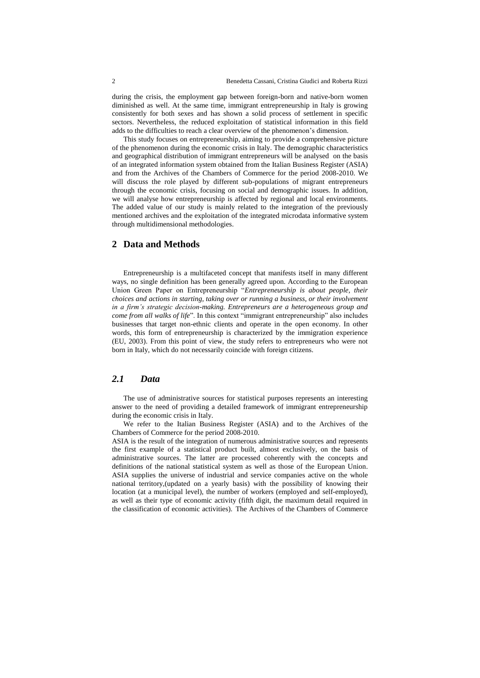during the crisis, the employment gap between foreign-born and native-born women diminished as well. At the same time, immigrant entrepreneurship in Italy is growing consistently for both sexes and has shown a solid process of settlement in specific sectors. Nevertheless, the reduced exploitation of statistical information in this field adds to the difficulties to reach a clear overview of the phenomenon's dimension.

This study focuses on entrepreneurship, aiming to provide a comprehensive picture of the phenomenon during the economic crisis in Italy. The demographic characteristics and geographical distribution of immigrant entrepreneurs will be analysed on the basis of an integrated information system obtained from the Italian Business Register (ASIA) and from the Archives of the Chambers of Commerce for the period 2008-2010. We will discuss the role played by different sub-populations of migrant entrepreneurs through the economic crisis, focusing on social and demographic issues. In addition, we will analyse how entrepreneurship is affected by regional and local environments. The added value of our study is mainly related to the integration of the previously mentioned archives and the exploitation of the integrated microdata informative system through multidimensional methodologies.

### **2 Data and Methods**

Entrepreneurship is a multifaceted concept that manifests itself in many different ways, no single definition has been generally agreed upon. According to the European Union Green Paper on Entrepreneurship "*Entrepreneurship is about people, their choices and actions in starting, taking over or running a business, or their involvement in a firm's strategic decision-making. Entrepreneurs are a heterogeneous group and come from all walks of life*". In this context "immigrant entrepreneurship" also includes businesses that target non-ethnic clients and operate in the open economy. In other words, this form of entrepreneurship is characterized by the immigration experience (EU, 2003). From this point of view, the study refers to entrepreneurs who were not born in Italy, which do not necessarily coincide with foreign citizens.

#### *2.1 Data*

The use of administrative sources for statistical purposes represents an interesting answer to the need of providing a detailed framework of immigrant entrepreneurship during the economic crisis in Italy.

We refer to the Italian Business Register (ASIA) and to the Archives of the Chambers of Commerce for the period 2008-2010.

ASIA is the result of the integration of numerous administrative sources and represents the first example of a statistical product built, almost exclusively, on the basis of administrative sources. The latter are processed coherently with the concepts and definitions of the national statistical system as well as those of the European Union. ASIA supplies the universe of industrial and service companies active on the whole national territory,(updated on a yearly basis) with the possibility of knowing their location (at a municipal level), the number of workers (employed and self-employed), as well as their type of economic activity (fifth digit, the maximum detail required in the classification of economic activities). The Archives of the Chambers of Commerce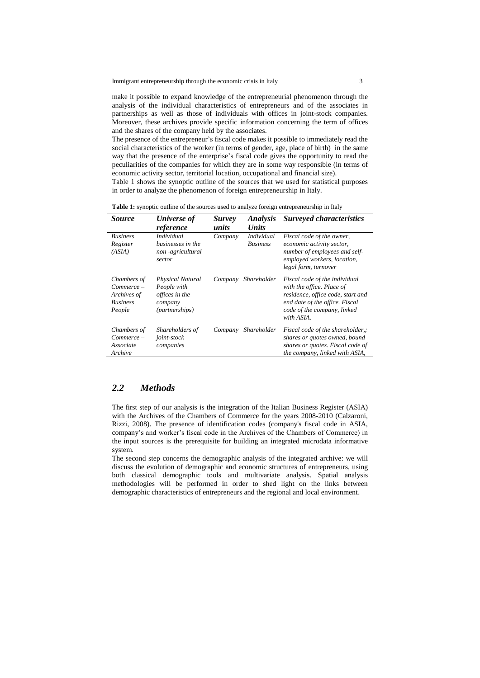Immigrant entrepreneurship through the economic crisis in Italy 3

make it possible to expand knowledge of the entrepreneurial phenomenon through the analysis of the individual characteristics of entrepreneurs and of the associates in partnerships as well as those of individuals with offices in joint-stock companies. Moreover, these archives provide specific information concerning the term of offices and the shares of the company held by the associates.

The presence of the entrepreneur's fiscal code makes it possible to immediately read the social characteristics of the worker (in terms of gender, age, place of birth) in the same way that the presence of the enterprise's fiscal code gives the opportunity to read the peculiarities of the companies for which they are in some way responsible (in terms of economic activity sector, territorial location, occupational and financial size).

Table 1 shows the synoptic outline of the sources that we used for statistical purposes in order to analyze the phenomenon of foreign entrepreneurship in Italy.

| Table 1: synoptic outline of the sources used to analyze foreign entrepreneurship in Italy |  |
|--------------------------------------------------------------------------------------------|--|
|--------------------------------------------------------------------------------------------|--|

| <i>Source</i>                                                           | Universe of<br>reference                                                       | <i>Survey</i><br>units | <i><b>Analysis</b></i><br><b>Units</b> | Surveyed characteristics                                                                                                                                                       |
|-------------------------------------------------------------------------|--------------------------------------------------------------------------------|------------------------|----------------------------------------|--------------------------------------------------------------------------------------------------------------------------------------------------------------------------------|
| <b>Business</b><br>Register<br>(ASIA)                                   | <i>Individual</i><br>businesses in the<br>non-agricultural<br>sector           | Company                | <b>Individual</b><br><b>Business</b>   | Fiscal code of the owner,<br>economic activity sector,<br>number of employees and self-<br>employed workers, location,<br>legal form, turnover                                 |
| Chambers of<br>$Commerce -$<br>Archives of<br><b>Business</b><br>People | Physical Natural<br>People with<br>offices in the<br>company<br>(partnerships) | Company                | Shareholder                            | Fiscal code of the individual<br>with the office. Place of<br>residence, office code, start and<br>end date of the office. Fiscal<br>code of the company, linked<br>with ASIA. |
| Chambers of<br>$Commerce-$<br>Associate<br>Archive                      | Shareholders of<br>joint-stock<br>companies                                    | Company                | Shareholder                            | Fiscal code of the shareholder,;<br>shares or quotes owned, bound<br>shares or quotes. Fiscal code of<br>the company, linked with ASIA,                                        |

## *2.2 Methods*

The first step of our analysis is the integration of the Italian Business Register (ASIA) with the Archives of the Chambers of Commerce for the years 2008-2010 (Calzaroni, Rizzi, 2008). The presence of identification codes (company's fiscal code in ASIA, company's and worker's fiscal code in the Archives of the Chambers of Commerce) in the input sources is the prerequisite for building an integrated microdata informative system.

The second step concerns the demographic analysis of the integrated archive: we will discuss the evolution of demographic and economic structures of entrepreneurs, using both classical demographic tools and multivariate analysis. Spatial analysis methodologies will be performed in order to shed light on the links between demographic characteristics of entrepreneurs and the regional and local environment.